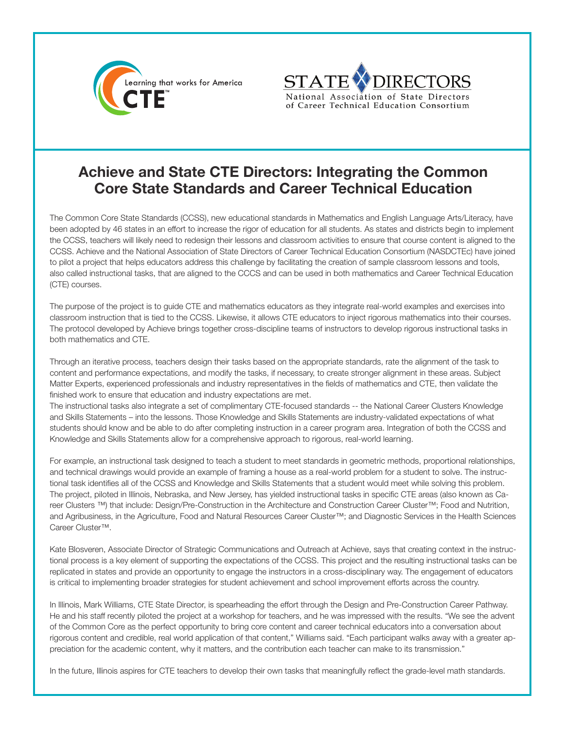



## **Achieve and State CTE Directors: Integrating the Common Core State Standards and Career Technical Education**

The Common Core State Standards (CCSS), new educational standards in Mathematics and English Language Arts/Literacy, have been adopted by 46 states in an effort to increase the rigor of education for all students. As states and districts begin to implement the CCSS, teachers will likely need to redesign their lessons and classroom activities to ensure that course content is aligned to the CCSS. Achieve and the National Association of State Directors of Career Technical Education Consortium (NASDCTEc) have joined to pilot a project that helps educators address this challenge by facilitating the creation of sample classroom lessons and tools, also called instructional tasks, that are aligned to the CCCS and can be used in both mathematics and Career Technical Education (CTE) courses.

The purpose of the project is to guide CTE and mathematics educators as they integrate real-world examples and exercises into classroom instruction that is tied to the CCSS. Likewise, it allows CTE educators to inject rigorous mathematics into their courses. The protocol developed by Achieve brings together cross-discipline teams of instructors to develop rigorous instructional tasks in both mathematics and CTE.

Through an iterative process, teachers design their tasks based on the appropriate standards, rate the alignment of the task to content and performance expectations, and modify the tasks, if necessary, to create stronger alignment in these areas. Subject Matter Experts, experienced professionals and industry representatives in the fields of mathematics and CTE, then validate the finished work to ensure that education and industry expectations are met.

The instructional tasks also integrate a set of complimentary CTE-focused standards -- the National Career Clusters Knowledge and Skills Statements – into the lessons. Those Knowledge and Skills Statements are industry-validated expectations of what students should know and be able to do after completing instruction in a career program area. Integration of both the CCSS and Knowledge and Skills Statements allow for a comprehensive approach to rigorous, real-world learning.

For example, an instructional task designed to teach a student to meet standards in geometric methods, proportional relationships, and technical drawings would provide an example of framing a house as a real-world problem for a student to solve. The instructional task identifies all of the CCSS and Knowledge and Skills Statements that a student would meet while solving this problem. The project, piloted in Illinois, Nebraska, and New Jersey, has yielded instructional tasks in specific CTE areas (also known as Career Clusters ™) that include: Design/Pre-Construction in the Architecture and Construction Career Cluster™; Food and Nutrition, and Agribusiness, in the Agriculture, Food and Natural Resources Career Cluster™; and Diagnostic Services in the Health Sciences Career Cluster™.

Kate Blosveren, Associate Director of Strategic Communications and Outreach at Achieve, says that creating context in the instructional process is a key element of supporting the expectations of the CCSS. This project and the resulting instructional tasks can be replicated in states and provide an opportunity to engage the instructors in a cross-disciplinary way. The engagement of educators is critical to implementing broader strategies for student achievement and school improvement efforts across the country.

In Illinois, Mark Williams, CTE State Director, is spearheading the effort through the Design and Pre-Construction Career Pathway. He and his staff recently piloted the project at a workshop for teachers, and he was impressed with the results. "We see the advent of the Common Core as the perfect opportunity to bring core content and career technical educators into a conversation about rigorous content and credible, real world application of that content," Williams said. "Each participant walks away with a greater appreciation for the academic content, why it matters, and the contribution each teacher can make to its transmission."

In the future, Illinois aspires for CTE teachers to develop their own tasks that meaningfully reflect the grade-level math standards.